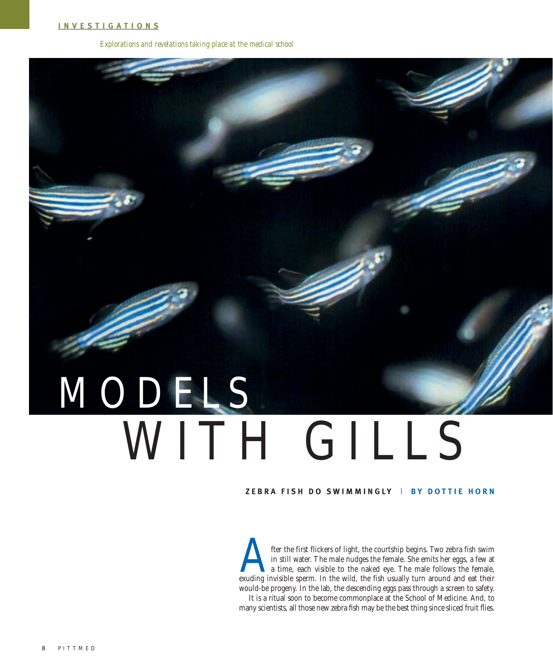*Explorations and revelations taking place at the medical school*

## WITH GILLS MODELS

## **ZEBRA FISH DO SWIMMINGLY** | **B Y DOTTIE HORN**

fter the first flickers of light, the courtship begins. Two zebra fish swim in still water. The male nudges the female. She emits her eggs, a few at a time, each visible to the naked eye. The male follows the female, exuding invisible sperm. In the wild, the fish usually turn around and eat their would-be progeny. In the lab, the descending eggs pass through a screen to safety. It is a ritual soon to become commonplace at the School of Medicine. And, to many scientists, all those new zebra fish may be the best thing since sliced fruit flies.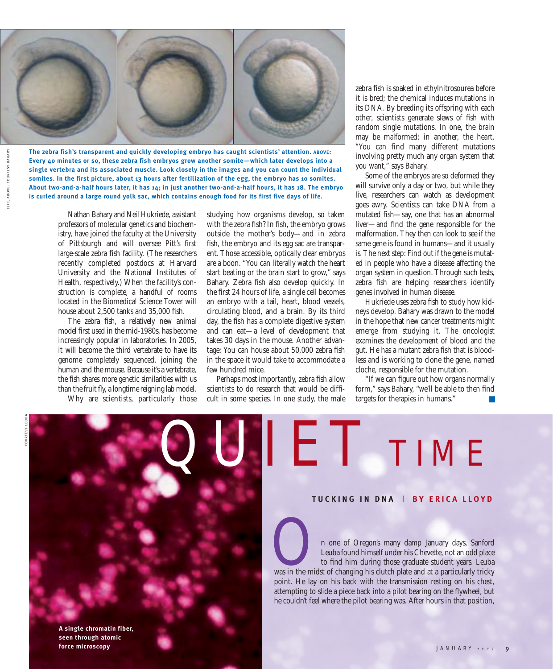

**The zebra fish's transparent and quickly developing embryo has caught scientists' attention. ABOVE: Every 40 minutes or so, these zebra fish embryos grow another somite—which later develops into a single vertebra and its associated muscle. Look closely in the images and you can count the individual somites. In the first picture, about 13 hours after fertilization of the egg, the embryo has 10 somites. About two-and-a-half hours later, it has 14; in just another two-and-a-half hours, it has 18. The embryo is curled around a large round yolk sac, which contains enough food for its first five days of life.** 

> Nathan Bahary and Neil Hukriede, assistant professors of molecular genetics and biochemistry, have joined the faculty at the University of Pittsburgh and will oversee Pitt's first large-scale zebra fish facility. (The researchers recently completed postdocs at Harvard University and the National Institutes of Health, respectively.) When the facility's construction is complete, a handful of rooms located in the Biomedical Science Tower will house about 2,500 tanks and 35,000 fish.

> The zebra fish, a relatively new animal model first used in the mid-1980s, has become increasingly popular in laboratories. In 2005, it will become the third vertebrate to have its genome completely sequenced, joining the human and the mouse. Because it's a vertebrate, the fish shares more genetic similarities with us than the fruit fly, a longtime reigning lab model.

Why are scientists, particularly those

studying how organisms develop, so taken with the zebra fish? In fish, the embryo grows outside the mother's body—and in zebra fish, the embryo and its egg sac are transparent. Those accessible, optically clear embryos are a boon. "You can literally watch the heart start beating or the brain start to grow," says Bahary. Zebra fish also develop quickly. In the first 24 hours of life, a single cell becomes an embryo with a tail, heart, blood vessels, circulating blood, and a brain. By its third day, the fish has a complete digestive system and can eat—a level of development that takes 30 days in the mouse. Another advantage: You can house about 50,000 zebra fish in the space it would take to accommodate a few hundred mice.

Perhaps most importantly, zebra fish allow scientists to do research that would be difficult in some species. In one study, the male

zebra fish is soaked in ethylnitrosourea before it is bred; the chemical induces mutations in its DNA. By breeding its offspring with each other, scientists generate slews of fish with random single mutations. In one, the brain may be malformed; in another, the heart. "You can find many different mutations involving pretty much any organ system that you want," says Bahary.

Some of the embryos are so deformed they will survive only a day or two, but while they live, researchers can watch as development goes awry. Scientists can take DNA from a mutated fish—say, one that has an abnormal liver—and find the gene responsible for the malformation. They then can look to see if the same gene is found in humans—and it usually is. The next step: Find out if the gene is mutated in people who have a disease affecting the organ system in question. Through such tests, zebra fish are helping researchers identify genes involved in human disease.

Hukriede uses zebra fish to study how kidneys develop. Bahary was drawn to the model in the hope that new cancer treatments might emerge from studying it. The oncologist examines the development of blood and the gut. He has a mutant zebra fish that is bloodless and is working to clone the gene, named cloche, responsible for the mutation.

"If we can figure out how organs normally form," says Bahary, "we'll be able to then find targets for therapies in humans."

COURTESY LEUBA



## **TUCKING IN DNA** | **B Y ERICA LLOYD**

n one of Oregon's many damp January days, Sanford<br>Leuba found himself under his Chevette, not an odd place<br>to find him during those graduate student years. Leuba<br>was in the midst of changing his clutch plate and at a parti Leuba found himself under his Chevette, not an odd place to find him during those graduate student years. Leuba point. He lay on his back with the transmission resting on his chest, attempting to slide a piece back into a pilot bearing on the flywheel, but he couldn't feel where the pilot bearing was. After hours in that position,

LEFT, ABOVE: COURTESY BAHARY LEF T, ABOVE: COURTESY BAHARY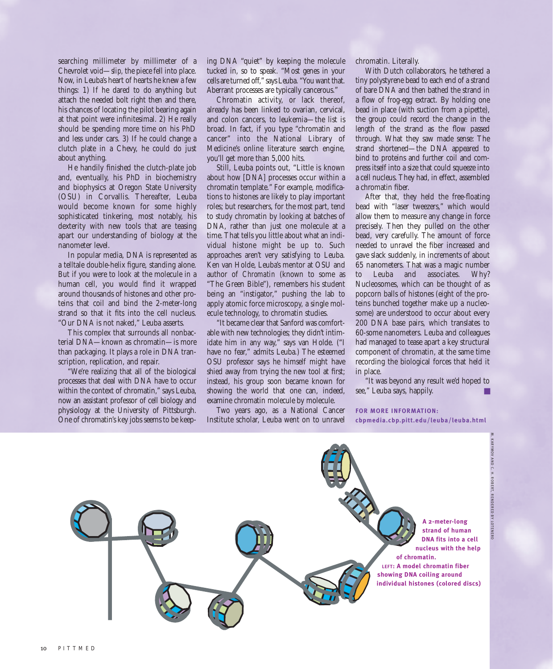searching millimeter by millimeter of a Chevrolet void—*slip,* the piece fell into place. Now, in Leuba's heart of hearts he knew a few things: 1) If he dared to do anything but attach the needed bolt right then and there, his chances of locating the pilot bearing again at that point were infinitesimal. 2) He really should be spending more time on his PhD and less under cars. 3) If he could change a clutch plate in a Chevy, he could do just about anything.

He handily finished the clutch-plate job and, eventually, his PhD in biochemistry and biophysics at Oregon State University (OSU) in Corvallis. Thereafter, Leuba would become known for some highly sophisticated tinkering, most notably, his dexterity with new tools that are teasing apart our understanding of biology at the nanometer level.

In popular media, DNA is represented as a telltale double-helix figure, standing alone. But if you were to look at the molecule in a human cell, you would find it wrapped around thousands of histones and other proteins that coil and bind the 2-meter-long strand so that it fits into the cell nucleus. "Our DNA is not naked," Leuba asserts.

This complex that surrounds all nonbacterial DNA—known as chromatin—is more than packaging. It plays a role in DNA transcription, replication, and repair.

"We're realizing that all of the biological processes that deal with DNA have to occur within the context of chromatin," says Leuba, now an assistant professor of cell biology and physiology at the University of Pittsburgh. One of chromatin's key jobs seems to be keeping DNA "quiet" by keeping the molecule tucked in, so to speak. "Most genes in your cells are turned off," says Leuba. "You want that. Aberrant processes are typically cancerous."

Chromatin activity, or lack thereof, already has been linked to ovarian, cervical, and colon cancers, to leukemia—the list is broad. In fact, if you type "chromatin and cancer" into the National Library of Medicine's online literature search engine, you'll get more than 5,000 hits.

Still, Leuba points out, "Little is known about how [DNA] processes occur within a chromatin template." For example, modifications to histones are likely to play important roles; but researchers, for the most part, tend to study chromatin by looking at batches of DNA, rather than just one molecule at a time. That tells you little about what an individual histone might be up to. Such approaches aren't very satisfying to Leuba. Ken van Holde, Leuba's mentor at OSU and author of *Chromatin* (known to some as "The Green Bible"), remembers his student being an "instigator," pushing the lab to apply atomic force microscopy, a single molecule technology, to chromatin studies.

"It became clear that Sanford was comfortable with new technologies; they didn't intimidate him in any way," says van Holde. ("I have no fear," admits Leuba.) The esteemed OSU professor says he himself might have shied away from trying the new tool at first; instead, his group soon became known for showing the world that one can, indeed, examine chromatin molecule by molecule.

Two years ago, as a National Cancer Institute scholar, Leuba went on to unravel chromatin. Literally.

With Dutch collaborators, he tethered a tiny polystyrene bead to each end of a strand of bare DNA and then bathed the strand in a flow of frog-egg extract. By holding one bead in place (with suction from a pipette), the group could record the change in the length of the strand as the flow passed through. What they saw made sense: The strand shortened—the DNA appeared to bind to proteins and further coil and compress itself into a size that could squeeze into a cell nucleus. They had, in effect, assembled a chromatin fiber.

After that, they held the free-floating bead with "laser tweezers," which would allow them to measure any change in force precisely. Then they pulled on the other bead, very carefully. The amount of force needed to unravel the fiber increased and gave slack suddenly, in increments of about 65 nanometers. That was a magic number to Leuba and associates. Why? Nucleosomes, which can be thought of as popcorn balls of histones (eight of the proteins bunched together make up a nucleosome) are understood to occur about every 200 DNA base pairs, which translates to 60-some nanometers. Leuba and colleagues had managed to tease apart a key structural component of chromatin, at the same time recording the biological forces that held it in place.

"It was beyond any result we'd hoped to see," Leuba says, happily.

**FOR MORE INFORMATION: cbpmedia.cbp.pitt.edu/leuba/leuba.html**